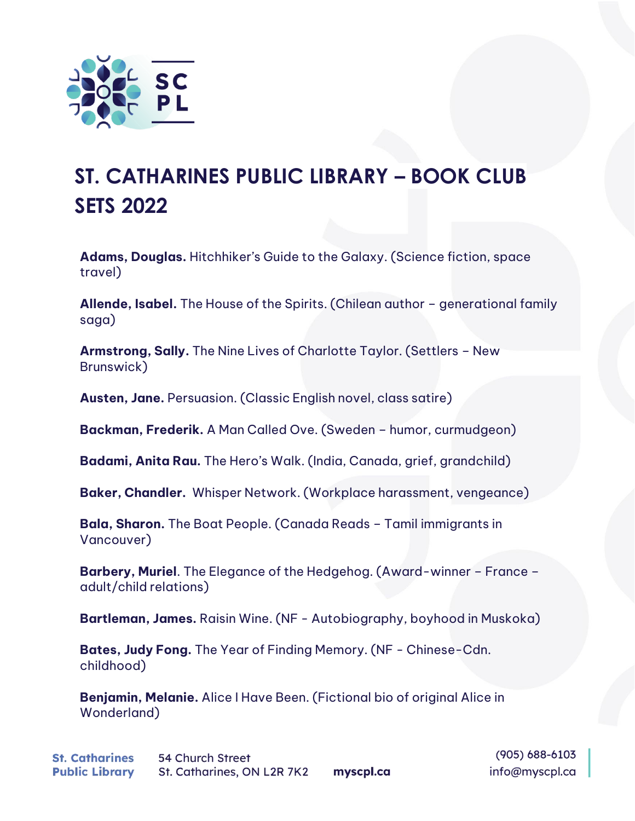

## **ST. CATHARINES PUBLIC LIBRARY – BOOK CLUB SETS 2022**

**Adams, Douglas.** Hitchhiker's Guide to the Galaxy. (Science fiction, space travel)

**Allende, Isabel.** The House of the Spirits. (Chilean author – generational family saga)

**Armstrong, Sally.** The Nine Lives of Charlotte Taylor. (Settlers – New Brunswick)

**Austen, Jane.** Persuasion. (Classic English novel, class satire)

**Backman, Frederik.** A Man Called Ove. (Sweden – humor, curmudgeon)

**Badami, Anita Rau.** The Hero's Walk. (India, Canada, grief, grandchild)

**Baker, Chandler.** Whisper Network. (Workplace harassment, vengeance)

**Bala, Sharon.** The Boat People. (Canada Reads – Tamil immigrants in Vancouver)

**Barbery, Muriel**. The Elegance of the Hedgehog. (Award-winner – France – adult/child relations)

**Bartleman, James.** Raisin Wine. (NF - Autobiography, boyhood in Muskoka)

**Bates, Judy Fong.** The Year of Finding Memory. (NF - Chinese-Cdn. childhood)

**Benjamin, Melanie.** Alice I Have Been. (Fictional bio of original Alice in Wonderland)

 $(905) 688 - 6103$ info@myscpl.ca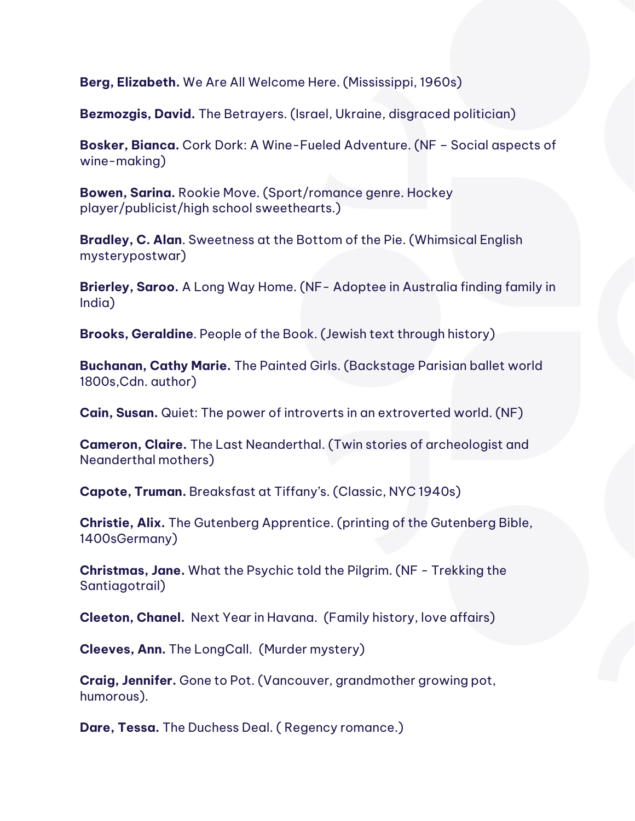**Berg, Elizabeth.** We Are All Welcome Here. (Mississippi, 1960s)

**Bezmozgis, David.** The Betrayers. (Israel, Ukraine, disgraced politician)

**Bosker, Bianca.** Cork Dork: A Wine-Fueled Adventure. (NF – Social aspects of wine-making)

**Bowen, Sarina.** Rookie Move. (Sport/romance genre. Hockey player/publicist/high school sweethearts.)

**Bradley, C. Alan**. Sweetness at the Bottom of the Pie. (Whimsical English mysterypostwar)

**Brierley, Saroo.** A Long Way Home. (NF- Adoptee in Australia finding family in India)

**Brooks, Geraldine**. People of the Book. (Jewish text through history)

**Buchanan, Cathy Marie.** The Painted Girls. (Backstage Parisian ballet world 1800s,Cdn. author)

**Cain, Susan.** Quiet: The power of introverts in an extroverted world. (NF)

**Cameron, Claire.** The Last Neanderthal. (Twin stories of archeologist and Neanderthal mothers)

**Capote, Truman.** Breaksfast at Tiffany's. (Classic, NYC 1940s)

**Christie, Alix.** The Gutenberg Apprentice. (printing of the Gutenberg Bible, 1400sGermany)

**Christmas, Jane.** What the Psychic told the Pilgrim. (NF - Trekking the Santiagotrail)

**Cleeton, Chanel.** Next Year in Havana. (Family history, love affairs)

**Cleeves, Ann.** The LongCall. (Murder mystery)

**Craig, Jennifer.** Gone to Pot. (Vancouver, grandmother growing pot, humorous).

**Dare, Tessa.** The Duchess Deal. ( Regency romance.)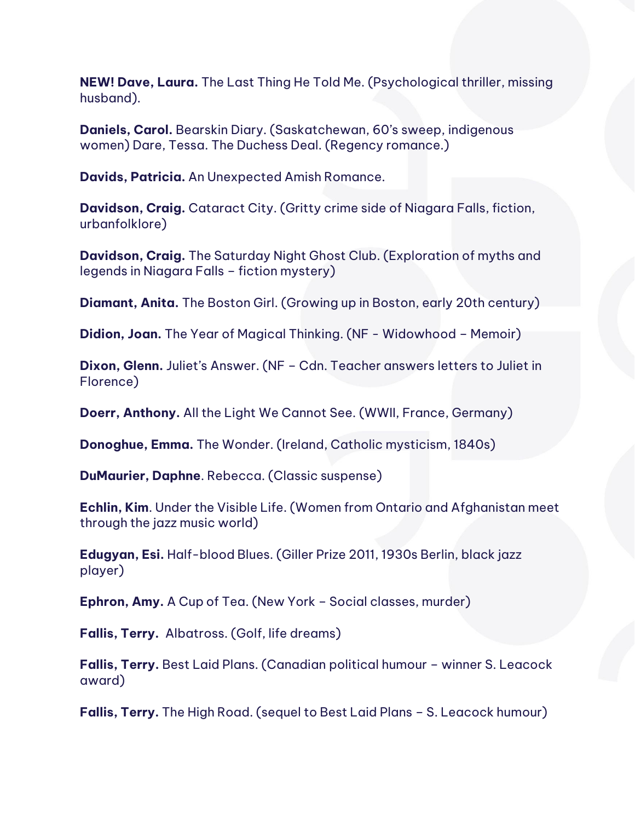**NEW! Dave, Laura.** The Last Thing He Told Me. (Psychological thriller, missing husband).

**Daniels, Carol.** Bearskin Diary. (Saskatchewan, 60's sweep, indigenous women) Dare, Tessa. The Duchess Deal. (Regency romance.)

**Davids, Patricia.** An Unexpected Amish Romance.

**Davidson, Craig.** Cataract City. (Gritty crime side of Niagara Falls, fiction, urbanfolklore)

**Davidson, Craig.** The Saturday Night Ghost Club. (Exploration of myths and legends in Niagara Falls – fiction mystery)

**Diamant, Anita.** The Boston Girl. (Growing up in Boston, early 20th century)

**Didion, Joan.** The Year of Magical Thinking. (NF - Widowhood – Memoir)

**Dixon, Glenn.** Juliet's Answer. (NF – Cdn. Teacher answers letters to Juliet in Florence)

**Doerr, Anthony.** All the Light We Cannot See. (WWII, France, Germany)

**Donoghue, Emma.** The Wonder. (Ireland, Catholic mysticism, 1840s)

**DuMaurier, Daphne**. Rebecca. (Classic suspense)

**Echlin, Kim**. Under the Visible Life. (Women from Ontario and Afghanistan meet through the jazz music world)

**Edugyan, Esi.** Half-blood Blues. (Giller Prize 2011, 1930s Berlin, black jazz player)

**Ephron, Amy.** A Cup of Tea. (New York – Social classes, murder)

**Fallis, Terry.** Albatross. (Golf, life dreams)

**Fallis, Terry.** Best Laid Plans. (Canadian political humour – winner S. Leacock award)

**Fallis, Terry.** The High Road. (sequel to Best Laid Plans – S. Leacock humour)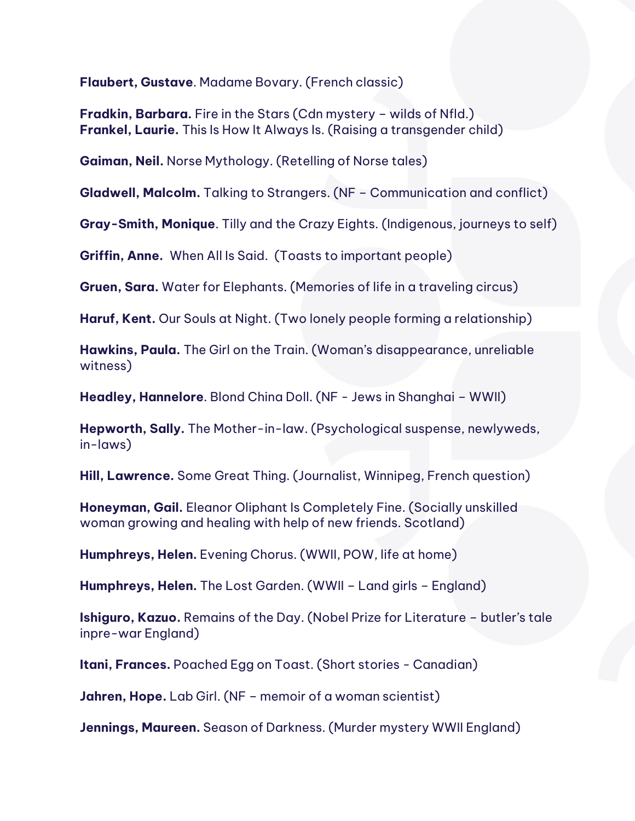**Flaubert, Gustave**. Madame Bovary. (French classic)

**Fradkin, Barbara.** Fire in the Stars (Cdn mystery – wilds of Nfld.) **Frankel, Laurie.** This Is How It Always Is. (Raising a transgender child)

**Gaiman, Neil.** Norse Mythology. (Retelling of Norse tales)

**Gladwell, Malcolm.** Talking to Strangers. (NF – Communication and conflict)

**Gray-Smith, Monique**. Tilly and the Crazy Eights. (Indigenous, journeys to self)

**Griffin, Anne.** When All Is Said. (Toasts to important people)

**Gruen, Sara.** Water for Elephants. (Memories of life in a traveling circus)

**Haruf, Kent.** Our Souls at Night. (Two lonely people forming a relationship)

**Hawkins, Paula.** The Girl on the Train. (Woman's disappearance, unreliable witness)

**Headley, Hannelore**. Blond China Doll. (NF - Jews in Shanghai – WWII)

**Hepworth, Sally.** The Mother-in-law. (Psychological suspense, newlyweds, in-laws)

**Hill, Lawrence.** Some Great Thing. (Journalist, Winnipeg, French question)

**Honeyman, Gail.** Eleanor Oliphant Is Completely Fine. (Socially unskilled woman growing and healing with help of new friends. Scotland)

**Humphreys, Helen.** Evening Chorus. (WWII, POW, life at home)

**Humphreys, Helen.** The Lost Garden. (WWII – Land girls – England)

**Ishiguro, Kazuo.** Remains of the Day. (Nobel Prize for Literature – butler's tale inpre-war England)

**Itani, Frances.** Poached Egg on Toast. (Short stories - Canadian)

**Jahren, Hope.** Lab Girl. (NF – memoir of a woman scientist)

**Jennings, Maureen.** Season of Darkness. (Murder mystery WWII England)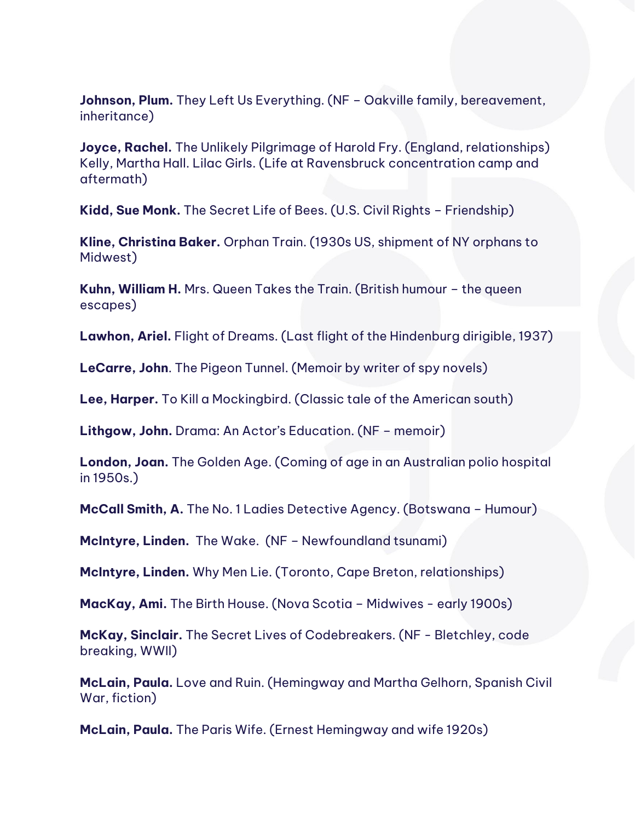**Johnson, Plum.** They Left Us Everything. (NF – Oakville family, bereavement, inheritance)

**Joyce, Rachel.** The Unlikely Pilgrimage of Harold Fry. (England, relationships) Kelly, Martha Hall. Lilac Girls. (Life at Ravensbruck concentration camp and aftermath)

**Kidd, Sue Monk.** The Secret Life of Bees. (U.S. Civil Rights – Friendship)

**Kline, Christina Baker.** Orphan Train. (1930s US, shipment of NY orphans to Midwest)

**Kuhn, William H.** Mrs. Queen Takes the Train. (British humour – the queen escapes)

**Lawhon, Ariel.** Flight of Dreams. (Last flight of the Hindenburg dirigible, 1937)

**LeCarre, John**. The Pigeon Tunnel. (Memoir by writer of spy novels)

**Lee, Harper.** To Kill a Mockingbird. (Classic tale of the American south)

**Lithgow, John.** Drama: An Actor's Education. (NF – memoir)

**London, Joan.** The Golden Age. (Coming of age in an Australian polio hospital in 1950s.)

**McCall Smith, A.** The No. 1 Ladies Detective Agency. (Botswana – Humour)

**McIntyre, Linden.** The Wake. (NF – Newfoundland tsunami)

**McIntyre, Linden.** Why Men Lie. (Toronto, Cape Breton, relationships)

**MacKay, Ami.** The Birth House. (Nova Scotia – Midwives - early 1900s)

**McKay, Sinclair.** The Secret Lives of Codebreakers. (NF - Bletchley, code breaking, WWII)

**McLain, Paula.** Love and Ruin. (Hemingway and Martha Gelhorn, Spanish Civil War, fiction)

**McLain, Paula.** The Paris Wife. (Ernest Hemingway and wife 1920s)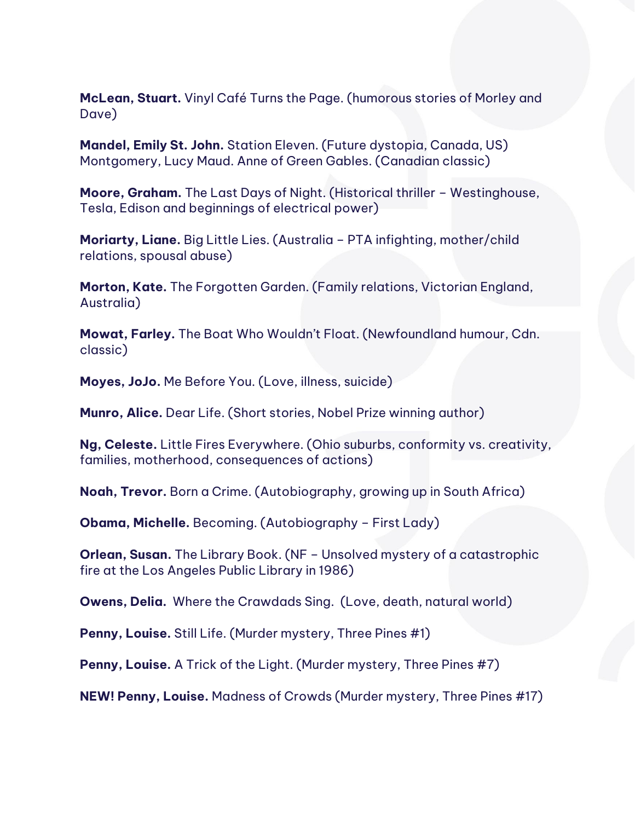**McLean, Stuart.** Vinyl Café Turns the Page. (humorous stories of Morley and Dave)

**Mandel, Emily St. John.** Station Eleven. (Future dystopia, Canada, US) Montgomery, Lucy Maud. Anne of Green Gables. (Canadian classic)

**Moore, Graham.** The Last Days of Night. (Historical thriller – Westinghouse, Tesla, Edison and beginnings of electrical power)

**Moriarty, Liane.** Big Little Lies. (Australia – PTA infighting, mother/child relations, spousal abuse)

**Morton, Kate.** The Forgotten Garden. (Family relations, Victorian England, Australia)

**Mowat, Farley.** The Boat Who Wouldn't Float. (Newfoundland humour, Cdn. classic)

**Moyes, JoJo.** Me Before You. (Love, illness, suicide)

**Munro, Alice.** Dear Life. (Short stories, Nobel Prize winning author)

**Ng, Celeste.** Little Fires Everywhere. (Ohio suburbs, conformity vs. creativity, families, motherhood, consequences of actions)

**Noah, Trevor.** Born a Crime. (Autobiography, growing up in South Africa)

**Obama, Michelle.** Becoming. (Autobiography – First Lady)

**Orlean, Susan.** The Library Book. (NF – Unsolved mystery of a catastrophic fire at the Los Angeles Public Library in 1986)

**Owens, Delia.** Where the Crawdads Sing. (Love, death, natural world)

**Penny, Louise.** Still Life. (Murder mystery, Three Pines #1)

**Penny, Louise.** A Trick of the Light. (Murder mystery, Three Pines #7)

**NEW! Penny, Louise.** Madness of Crowds (Murder mystery, Three Pines #17)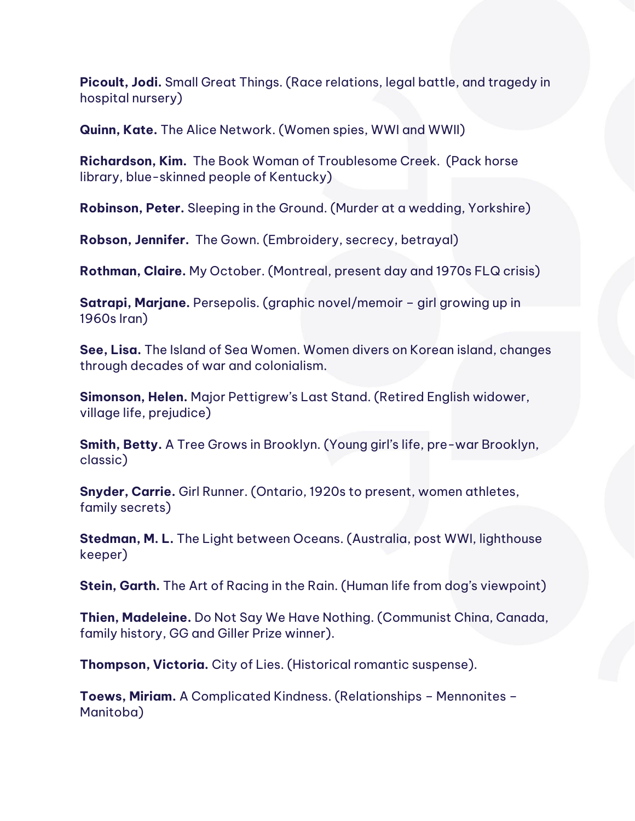**Picoult, Jodi.** Small Great Things. (Race relations, legal battle, and tragedy in hospital nursery)

**Quinn, Kate.** The Alice Network. (Women spies, WWI and WWII)

**Richardson, Kim.** The Book Woman of Troublesome Creek. (Pack horse library, blue-skinned people of Kentucky)

**Robinson, Peter.** Sleeping in the Ground. (Murder at a wedding, Yorkshire)

**Robson, Jennifer.** The Gown. (Embroidery, secrecy, betrayal)

**Rothman, Claire.** My October. (Montreal, present day and 1970s FLQ crisis)

**Satrapi, Marjane.** Persepolis. (graphic novel/memoir – girl growing up in 1960s Iran)

**See, Lisa.** The Island of Sea Women. Women divers on Korean island, changes through decades of war and colonialism.

**Simonson, Helen.** Major Pettigrew's Last Stand. (Retired English widower, village life, prejudice)

**Smith, Betty.** A Tree Grows in Brooklyn. (Young girl's life, pre-war Brooklyn, classic)

**Snyder, Carrie.** Girl Runner. (Ontario, 1920s to present, women athletes, family secrets)

**Stedman, M. L.** The Light between Oceans. (Australia, post WWI, lighthouse keeper)

**Stein, Garth.** The Art of Racing in the Rain. (Human life from dog's viewpoint)

**Thien, Madeleine.** Do Not Say We Have Nothing. (Communist China, Canada, family history, GG and Giller Prize winner).

**Thompson, Victoria.** City of Lies. (Historical romantic suspense).

**Toews, Miriam.** A Complicated Kindness. (Relationships – Mennonites – Manitoba)